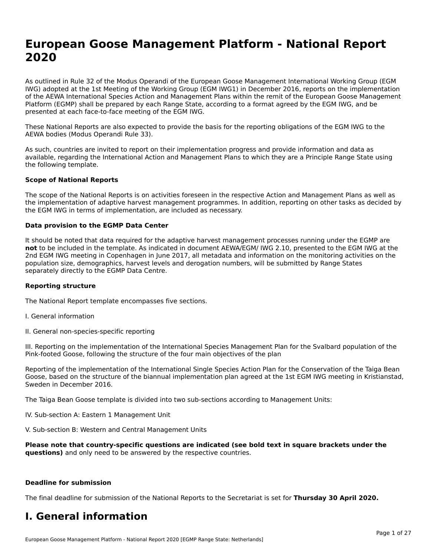## **European Goose Management Platform - National Report**European Goose Management Platform - National **Neport**<br>2020

As outlined in Rule 32 of the Modus Operandi of the European Goose Management International Working Group (EGM As buthled in Rule 32 of the Modus Operandi of the Lufopean Goose Management International Working Group (LGM<br>IWG) adopted at the 1st Meeting of the Working Group (EGM IWG1) in December 2016, reports on the implementation of the AEWA International Species Action and Management Plans within the remit of the European Goose Management Platform (EGMP) shall be prepared by each Range State, according to a format agreed by the EGM IWG, and be presented at each face-to-face meeting of the EGM IWG.

These National Reports are also expected to provide the basis for the reporting obligations of the EGM IWG to the AEWA bodies (Modus Operandi Rule 33).

As such, countries are invited to report on their implementation progress and provide information and data as<br>available, regarding the International Action and Management Plans to which they are a Principle Range State usi available, regarding the International Action and Management Plans to which they are a Principle Range State using the following template.

#### **Scope of National Reports**

The scope of the National Reports is on activities foreseen in the respective Action and Management Plans as well as The scope of the National Reports is on activities foreseen in the respective Action and Management Plans as well as<br>the implementation of adaptive harvest management programmes. In addition, reporting on other tasks as de the EGM IWG in terms of implementation, are included as necessary.

#### **Data provision to the EGMP Data Center**

It should be noted that data required for the adaptive harvest management processes running under the EGMP are **not** to be included in the template. As indicated in document AEWA/EGM/ IWG 2.10, presented to the EGM IWG at the 2nd EGM IWG meeting in Copenhagen in June 2017, all metadata and information on the monitoring activities on the population size, demographics, harvest levels and derogation numbers, will be submitted by Range States separately directly to the EGMP Data Centre.

#### **Reporting structure**

The National Report template encompasses five sections.

- I. General information
- II. General non-species-specific reporting

III. Reporting on the implementation of the International Species Management Plan for the Svalbard population of the

Reporting of the implementation of the International Single Species Action Plan for the Conservation of the Taiga Bean Reporting of the implementation of the international single species Action Fram for the conservation of the laiga beam<br>Goose, based on the structure of the biannual implementation plan agreed at the 1st EGM IWG meeting in

The Taiga Bean Goose template is divided into two sub-sections according to Management Units:

IV. Sub-section A: Eastern 1 Management Unit

V. Sub-section B: Western and Central Management Units

**Please note that country-specific questions are indicated (see bold text in square brackets under the questions)** and only need to be answered by the respective countries.

#### **Deadline for submission**

The final deadline for submission of the National Reports to the Secretariat is set for **Thursday 30 April 2020.**

#### **I. General information**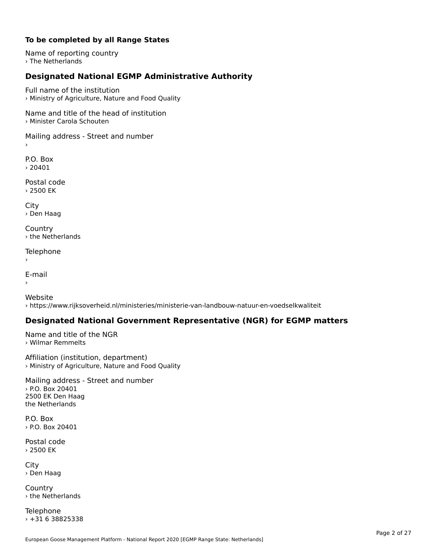#### **To be completed by all Range States**

Name of reporting country › The Netherlands

### **Designated National EGMP Administrative Authority**

Full name of the institution› Ministry of Agriculture, Nature and Food Quality

Name and title of the head of institution› Minister Carola Schouten

Mailing address - Street and number

P.O. Box › 20401

Postal code› 2500 EK

City › Den Haag

**Country** › the Netherlands

Telephone

```
E-mail
```
›

›

Website› https://www.rijksoverheid.nl/ministeries/ministerie-van-landbouw-natuur-en-voedselkwaliteit

#### **Designated National Government Representative (NGR) for EGMP matters**

Name and title of the NGR › Wilmar Remmelts

Affiliation (institution, department) › Ministry of Agriculture, Nature and Food Quality

Mailing address - Street and number › P.O. Box 20401 2500 EK Den Haag the Netherlands

P.O. Box $\rightarrow$  P.O. Box 20401

Postal code› 2500 EK

City › Den Haag

**Country** › the Netherlands

**Telephone** › +31 6 38825338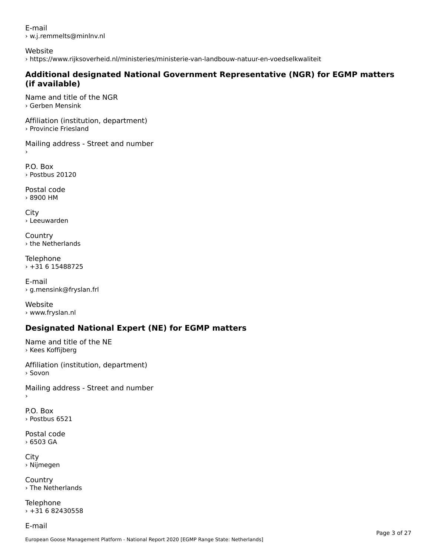E-mail› w.j.remmelts@minlnv.nl

Website

› https://www.rijksoverheid.nl/ministeries/ministerie-van-landbouw-natuur-en-voedselkwaliteit

# **Additional designated National Government Representative (NGR) for EGMP matters (if available)**

Name and title of the NGR› Gerben Mensink

Affiliation (institution, department) › Provincie Friesland

Mailing address - Street and number

P.O. Box› Postbus 20120

Postal code› 8900 HM

 $\bar{\phantom{a}}$ 

City › Leeuwarden

**Country** › the Netherlands

Telephone › +31 6 15488725

E-mail › g.mensink@fryslan.frl

Website› www.fryslan.nl

### **Designated National Expert (NE) for EGMP matters**

Name and title of the NE › Kees Koffijberg

Affiliation (institution, department) › Sovon

Mailing address - Street and number

P.O. Box› Postbus 6521

Postal code› 6503 GA

City › Nijmegen

**Country** › The Netherlands

Telephone  $\times$  +31 6 82430558

E-mail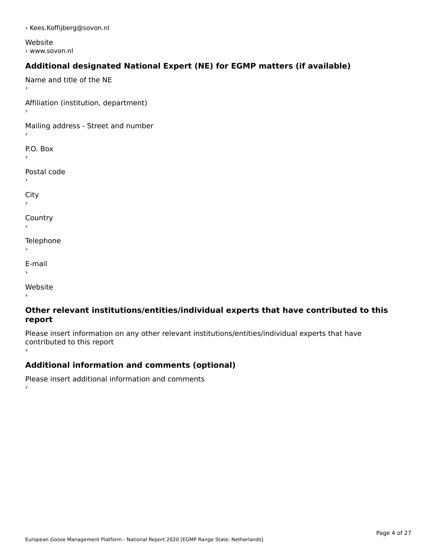› Kees.Koffijberg@sovon.nl

Website › www.sovon.nl

### **Additional designated National Expert (NE) for EGMP matters (if available)**

Name and title of the NE›Affiliation (institution, department) Mailing address - Street and number P.O. Box Postal code› $\mathbf{C}^{\text{th}}$ ›**Country** Telephone E-mail›website<br>Website ›

#### **Other relevant institutions/entities/individual experts that have contributed to this report**report

Please insert information on any other relevant institutions/entities/individual experts that have riease insert information<br>contributed to this report ›

### **Additional information and comments (optional)**

Please insert additional information and comments ›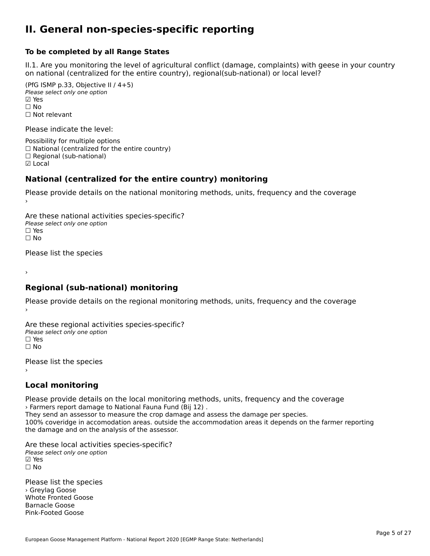#### **II. General non-species-specific reporting**

#### **To be completed by all Range States**

II.1. Are you monitoring the level of agricultural conflict (damage, complaints) with geese in your country n.i. Are you monitoring the lever or agricultural connict (damage, complaints) with g<br>on national (centralized for the entire country), regional(sub-national) or local level?

(PfG ISMP p.33, Objective II  $(4+5)$ ) Please select only one option ☑ Yes**☑ Yes**<br>□ No □ No<br>□ Not relevant

Please indicate the level:

Possibility for multiple options  $\Box$  National (centralized for the entire country)  $\Box$  Regional (sub-national) ☑ Local

#### **National (centralized for the entire country) monitoring**

Please provide details on the national monitoring methods, units, frequency and the coverage

Are these national activities species-specific? ∩ne enese national activity<br>Please select only one option ים וכ<br>⊡ No

Please list the species

›

#### **Regional (sub-national) monitoring**

Please provide details on the regional monitoring methods, units, frequency and the coverage

Are these regional activities species-specific? ∩ne these regional activ<br>Please select only one option □ Yes<br>□ No

Please list the species ›

### **Local monitoring**

Please provide details on the local monitoring methods, units, frequency and the coverage › Farmers report damage to National Fauna Fund (Bij 12) .

They send an assessor to measure the crop damage and assess the damage per species.<br>They send an assessor to measure the crop damage and assess the damage per species. They send an assessor to measure the crop damage and assess the damage per species.<br>100% coveridge in accomodation areas. outside the accommodation areas it depends on the farmer reporting the damage and on the analysis of the assessor.

Are these local activities species-specific? Please select only one option☑ Yes☐ No

Please list the species › Greylag Goose Whote Fronted Goose Barnacle GooseBarnacle Goose<br>Pink-Footed Goose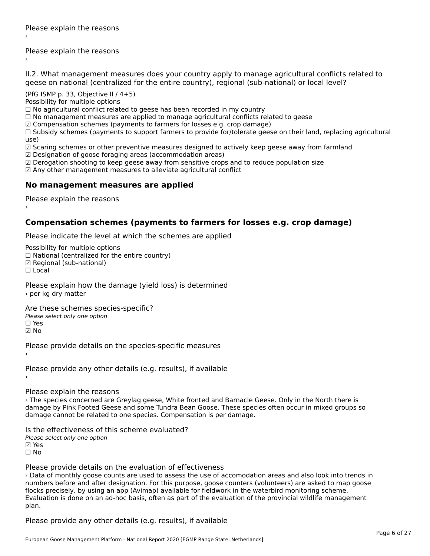Please explain the reasons ›

II.2. What management measures does your country apply to manage agricultural conflicts related to

(PfG ISMP p. 33, Objective II  $/$  4+5)

Possibility for multiple options

 $\Box$  No agricultural conflict related to geese has been recorded in my country

 $\Box$  No management measures are applied to manage agricultural conflicts related to geese

☑ Compensation schemes (payments to farmers for losses e.g. crop damage)

ച്ച compensation schemes (payments to ramiers for losses e.g. crop damage)<br>□ Subsidy schemes (payments to support farmers to provide for/tolerate geese on their land, replacing agricultural use)

use)<br>☑ Scaring schemes or other preventive measures designed to actively keep geese away from farmland

 $\boxtimes$  Designation of goose foraging areas (accommodation areas)

ය Designation of goose foraging areas (accommodation areas)<br>☑ Derogation shooting to keep geese away from sensitive crops and to reduce population size

☑ Any other management measures to alleviate agricultural conflict

### **No management measures are applied**

Please explain the reasons ›

#### **Compensation schemes (payments to farmers for losses e.g. crop damage)**

Please indicate the level at which the schemes are applied

Possibility for multiple options rossibility for multiple options<br>□ National (centralized for the entire country) □ National (centralized io<br>☑ Regional (sub-national) ☐ Local

Please explain how the damage (yield loss) is determined › per kg dry matter

Are these schemes species-specific?

∩ne these senemes spe<br>Please select only one option ☑ No

Please provide details on the species-specific measures

Please provide any other details (e.g. results), if available

Please explain the reasons

› The species concerned are Greylag geese, White fronted and Barnacle Geese. Only in the North there is damage by Pink Footed Geese and some Tundra Bean Goose. These species often occur in mixed groups so damage cannot be related to one species. Compensation is per damage.

Is the effectiveness of this scheme evaluated?

Please select only one option

☑ Yes☐ No

#### Please provide details on the evaluation of effectiveness

› Data of monthly goose counts are used to assess the use of accomodation areas and also look into trends in numbers before and after designation. For this purpose, goose counters (volunteers) are asked to map goose Humbers before and after designation. For this purpose, goose counters (volunteers) are asked to map goos<br>flocks precisely, by using an app (Avimap) available for fieldwork in the waterbird monitoring scheme. plan.plan.

Please provide any other details (e.g. results), if available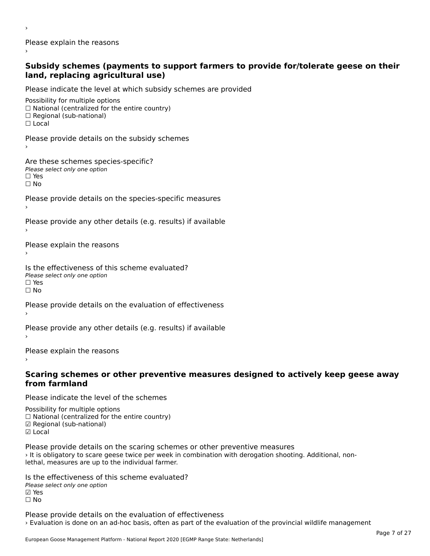Please explain the reasons

#### **Subsidy schemes (payments to support farmers to provide for/tolerate geese on their land, replacing agricultural use)**land, replacing agricultural use)

Please indicate the level at which subsidy schemes are provided

Possibility for multiple options ™assibility for multiple options<br>□ National (centralized for the entire country) □ National (centralized io<br>□ Regional (sub-national) ☐ Local

Please provide details on the subsidy schemes

Are these schemes species-specific? ric criese serientes spec<br>Please select only one option ☐ Yes☐ No

Please provide details on the species-specific measures

Please provide any other details (e.g. results) if available

Please explain the reasons

›

Is the effectiveness of this scheme evaluated?Please select only one option ☐ Yes☐ No

Please provide details on the evaluation of effectiveness

Please provide any other details (e.g. results) if available

Please explain the reasons

#### **Scaring schemes or other preventive measures designed to actively keep geese away from farmland**

Please indicate the level of the schemes

Possibility for multiple options

- rossibility for multiple options<br>□ National (centralized for the entire country)
- □ National (centralized io<br>☑ Regional (sub-national)
- ⊠ Regio<br>☑ Local

Please provide details on the scaring schemes or other preventive measures › It is obligatory to scare geese twice per week in combination with derogation shooting. Additional, nonrit is obligatory to scare geese twice per week if<br>lethal, measures are up to the individual farmer.

Is the effectiveness of this scheme evaluated?Please select only one option☑ Yes☐ No

Please provide details on the evaluation of effectiveness › Evaluation is done on an ad-hoc basis, often as part of the evaluation of the provincial wildlife management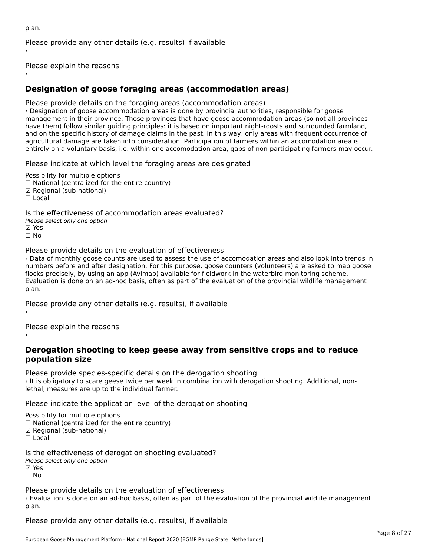plan.Please provide any other details (e.g. results) if available

Please explain the reasons

### **Designation of goose foraging areas (accommodation areas)**

Please provide details on the foraging areas (accommodation areas)

› Designation of goose accommodation areas is done by provincial authorities, responsible for goose management in their province. Those provinces that have goose accommodation areas (so not all provinces have them) follow similar guiding principles: it is based on important night-roosts and surrounded farmland, and on the specific history of damage claims in the past. In this way, only areas with frequent occurrence of and on the specific history or damage claims in the past. In this way, only areas with hequent occurrence<br>agricultural damage are taken into consideration. Participation of farmers within an accomodation area is entirely on a voluntary basis, i.e. within one accomodation area, gaps of non-participating farmers may occur.

Please indicate at which level the foraging areas are designated

Possibility for multiple options rossibility for multiple options<br>□ National (centralized for the entire country) □ National (centralized io<br>☑ Regional (sub-national) ⊠ Regio<br>□ Local

Is the effectiveness of accommodation areas evaluated?Please select only one option ☑ Yes☐ No

Please provide details on the evaluation of effectiveness

› Data of monthly goose counts are used to assess the use of accomodation areas and also look into trends in numbers before and after designation. For this purpose, goose counters (volunteers) are asked to map goose flocks precisely, by using an app (Avimap) available for fieldwork in the waterbird monitoring scheme. Hocks precisely, by using an app (Avimap) available for heldwork in the waterbird momtoring scheme.<br>Evaluation is done on an ad-hoc basis, often as part of the evaluation of the provincial wildlife management

Please provide any other details (e.g. results), if available

Please explain the reasons

#### **Derogation shooting to keep geese away from sensitive crops and to reduce population size**population size

Please provide species-specific details on the derogation shooting › It is obligatory to scare geese twice per week in combination with derogation shooting. Additional, nonrit is obligatory to scare geese twice per week if<br>lethal, measures are up to the individual farmer.

Please indicate the application level of the derogation shooting

Possibility for multiple options

 $\Box$  National (centralized for the entire country)

☑ Regional (sub-national)

☐ Local

Is the effectiveness of derogation shooting evaluated?

- Please select only one option
- ☑ Yes

☐ No

Please provide details on the evaluation of effectiveness

› Evaluation is done on an ad-hoc basis, often as part of the evaluation of the provincial wildlife management ∕ ∟va<br>plan.

Please provide any other details (e.g. results), if available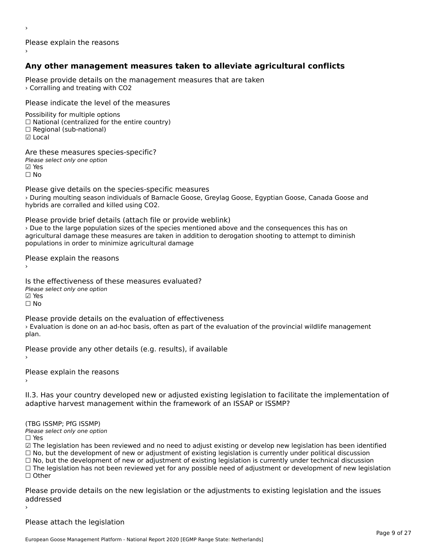Please explain the reasons

### **Any other management measures taken to alleviate agricultural conflicts**

Please provide details on the management measures that are taken › Corralling and treating with CO2

Please indicate the level of the measures

Possibility for multiple options rossibility for multiple options<br>□ National (centralized for the entire country) □ Regional (centranzed to<br>□ Regional (sub-national) ☑ Local

Are these measures species-specific? ∧e chese measures spe<br>Please select only one option

**☑ Yes**<br>□ No

›

Please give details on the species-specific measures ricuse give details on the species specific measures<br>> During moulting season individuals of Barnacle Goose, Greylag Goose, Egyptian Goose, Canada Goose and hybrids are corralled and killed using CO2.

Please provide brief details (attach file or provide weblink) › Due to the large population sizes of the species mentioned above and the consequences this has on The correction of the large population sizes of the species membered above and the consequences this has one agricultural damage these measures are taken in addition to derogation shooting to attempt to diminish populations in order to minimize agricultural damage

Please explain the reasons

Is the effectiveness of these measures evaluated?□ the cheenveness of t<br>Please select only one option ⊠ Yes ☐ No

Please provide details on the evaluation of effectiveness I lease provide details on the evaluation of enectiveness<br>> Evaluation is done on an ad-hoc basis, often as part of the evaluation of the provincial wildlife management plan.

Please provide any other details (e.g. results), if available

Please explain the reasons

II.3. Has your country developed new or adjusted existing legislation to facilitate the implementation of adaptive harvest management within the framework of an ISSAP or ISSMP?

(TBG ISSMP; PfG ISSMP) Please select only one option

☐ Yes

☑ The legislation has been reviewed and no need to adjust existing or develop new legislation has been identified ⊠ The regislation has been reviewed and no need to adjust existing or develop new regislation has been ident<br>□ No, but the development of new or adjustment of existing legislation is currently under political discussion □ No, but the development of new or adjustment of existing legislation is currently under political discussion<br>□ No, but the development of new or adjustment of existing legislation is currently under technical discussion ☐ The legislation has not been reviewed yet for any possible need of adjustment or development of new legislation

☐ Other

Please provide details on the new legislation or the adjustments to existing legislation and the issues addressedaddressed

Please attach the legislation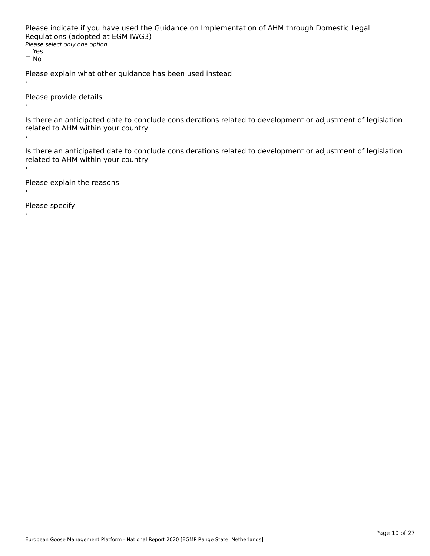Please indicate if you have used the Guidance on Implementation of AHM through Domestic Legal riease indicate ir you have used the<br>Regulations (adopted at EGM IWG3) **Regardents (dubpled a)**<br>Please select only one option ☐ Yesים וכ<br>⊡ No

Please explain what other guidance has been used instead

Please provide details

Is there an anticipated date to conclude considerations related to development or adjustment of legislation is there are anticrpated date to control<br>related to AHM within your country

Is there an anticipated date to conclude considerations related to development or adjustment of legislation Proced to Arm within your country

Please explain the reasons

Please specify

European Goose Management Platform - National Report 2020 [EGMP Range State: Netherlands]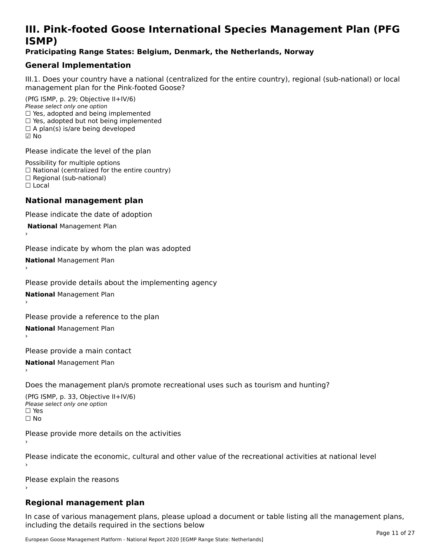### **III. Pink-footed Goose International Species Management Plan (PFG**III. FIIIN-IUULEU GUUSE IIILEI II**atiunai Species Management Fian (FTG**<br>ISMD)

#### **Praticipating Range States: Belgium, Denmark, the Netherlands, Norway**

### **General Implementation**

III.1. Does your country have a national (centralized for the entire country), regional (sub-national) or local

(PfG ISMP, p. 29; Objective II+IV/6) Please select only one option *Please select only one option*<br>□ Yes, adopted and being implemented □ Tes, adopted and being implemented<br>□ Yes, adopted but not being implemented  $\square$  ies, adopted but not being imple<br> $\square$  A plan(s) is/are being developed ☑ No

Please indicate the level of the plan

Possibility for multiple options rossibility for multiple options<br>□ National (centralized for the entire country) □ National (centralized io<br>□ Regional (sub-national) ☐ Local

#### **National management plan**

Please indicate the date of adoption

 **National** Management Plan

›

Please indicate by whom the plan was adopted

**National** Management Plan ›

Please provide details about the implementing agency

**National** Management Plan ›

Please provide a reference to the plan

**National** Management Plan ›

Please provide a main contact

**National** Management Plan ›

Does the management plan/s promote recreational uses such as tourism and hunting?

(PfG ISMP, p. 33, Objective II+IV/6) Please select only one optionPlease select only one option  $\square$  Yes ☐ No

Please provide more details on the activities›

Please indicate the economic, cultural and other value of the recreational activities at national level

Please explain the reasons

#### **Regional management plan**

In case of various management plans, please upload a document or table listing all the management plans, $\frac{1}{2}$  case of various management plans, please uploa including the details required in the sections below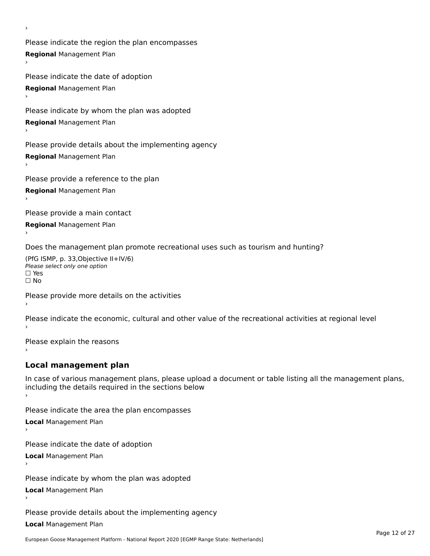Please indicate the region the plan encompasses **Regional** Management Plan

Please indicate the date of adoption **Regional** Management Plan

Please indicate by whom the plan was adopted

**Regional** Management Plan

›

Please provide details about the implementing agency

**Regional** Management Plan

Please provide a reference to the plan

**Regional** Management Plan

Please provide a main contact

**Regional** Management Plan

Does the management plan promote recreational uses such as tourism and hunting?

(PfG ISMP, p. 33,Objective II+IV/6) ∩∩ וויוכו פון<br>Please select only one option<br>□ Yes □ Yes<br>□ No

Please provide more details on the activities

Please indicate the economic, cultural and other value of the recreational activities at regional level

Please explain the reasons ›

### **Local management plan**

In case of various management plans, please upload a document or table listing all the management plans, In case of various management plans, please uploa<br>including the details required in the sections below

Please indicate the area the plan encompasses

**Local** Management Plan

Please indicate the date of adoption

**Local** Management Plan›

Please indicate by whom the plan was adopted

**Local** Management Plan

Please provide details about the implementing agency

**Local** Management Plan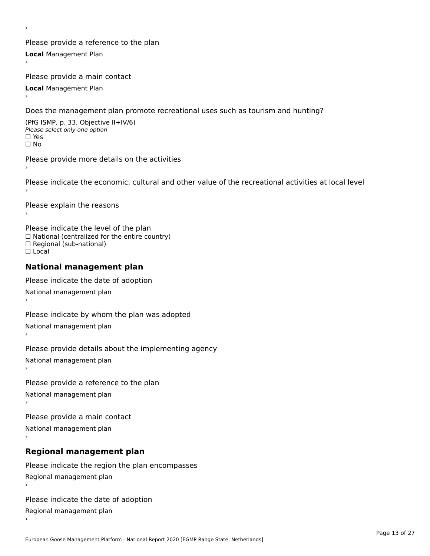Please provide a reference to the plan **Local** Management Plan

Please provide a main contact

**Local** Management Plan

›

Does the management plan promote recreational uses such as tourism and hunting?

(PfG ISMP, p. 33, Objective II+IV/6) Please select only one option☐ Yes☐ No

Please provide more details on the activities

Please indicate the economic, cultural and other value of the recreational activities at local level

Please explain the reasons ›

Please indicate the level of the plan ∩ease marcate the lever of the plan<br>□ National (centralized for the entire country) □ National (centralized io<br>□ Regional (sub-national) ☐ Local

#### **National management plan**

Please indicate the date of adoption National management plan

Please indicate by whom the plan was adopted National management plan ›

Please provide details about the implementing agency

National management plan

Please provide a reference to the plan

National management plan

Please provide a main contact

National management plan

### **Regional management plan**

Please indicate the region the plan encompasses Regional management plan

Please indicate the date of adoption

Regional management plan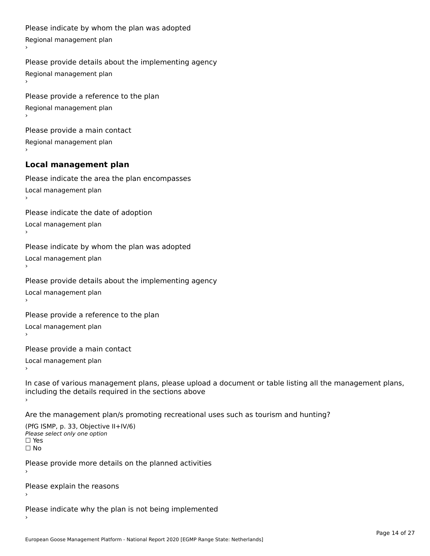```
Please indicate by whom the plan was adopted Regional management plan
Please provide details about the implementing agency Regional management plan
Please provide a reference to the plan Regional management plan
Please provide a main contact Regional management plan
Local management plan
Please indicate the area the plan encompasses Local management plan›Please indicate the date of adoption Local management plan١,
Please indicate by whom the plan was adopted Local management plan›Please provide details about the implementing agency Local management plan١,
Please provide a reference to the plan Local management plan›Please provide a main contact Local management plan١,
In case of various management plans, please upload a document or table listing all the management plans,in case or various management plans, please upload
including the details required in the sections above
```
Are the management plan/s promoting recreational uses such as tourism and hunting?

```
(PfG ISMP, p. 33, Objective II+IV/6)
Please select only one option☐ Yes☐ No
```
Please provide more details on the planned activities

Please explain the reasons›

Please indicate why the plan is not being implemented›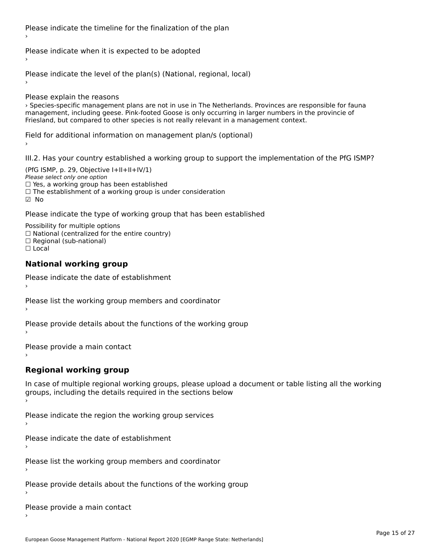Please indicate the timeline for the finalization of the plan

Please indicate when it is expected to be adopted

Please indicate the level of the plan(s) (National, regional, local)

Please explain the reasons

› Species-specific management plans are not in use in The Netherlands. Provinces are responsible for fauna Process-specific management pians are not in use in the Necherlands. Frovinces are responsible for rational process are responsible for rational process are responsible for rational process. Friesland, but compared to other species is not really relevant in a management context.

Field for additional information on management plan/s (optional)

III.2. Has your country established a working group to support the implementation of the PfG ISMP?

(PfG ISMP, p. 29, Objective  $I+II+II+IV/1$ ) Please select only one option □ Yes, a working group has been established ☐ The establishment of a working group is under consideration ☑ No

Please indicate the type of working group that has been established

Possibility for multiple options rossibility for multiple options<br>□ National (centralized for the entire country) □ Regional (sub-national)

☐ Local

#### **National working group**

Please indicate the date of establishment›

Please list the working group members and coordinator ›

Please provide details about the functions of the working group ›

Please provide a main contact ›

#### **Regional working group**

In case of multiple regional working groups, please upload a document or table listing all the working groups, including the details required in the sections below

Please indicate the region the working group services ›

Please indicate the date of establishment ›

Please list the working group members and coordinator ›

Please provide details about the functions of the working group ›

Please provide a main contact ›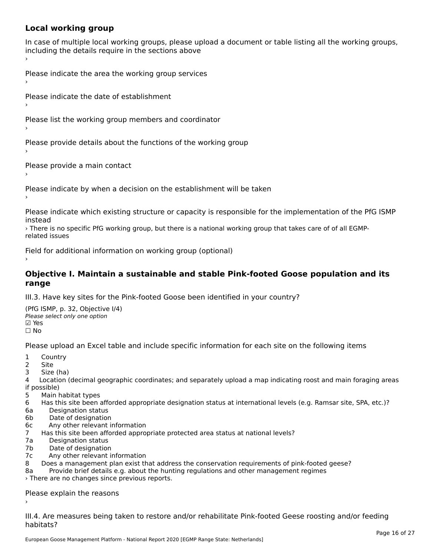### **Local working group**

In case of multiple local working groups, please upload a document or table listing all the working groups, in case of multiple local working groups, please up ›

Please indicate the area the working group services ›

Please indicate the date of establishment ›

Please list the working group members and coordinator ›

Please provide details about the functions of the working group ›

Please provide a main contact ›

Please indicate by when a decision on the establishment will be taken

Please indicate which existing structure or capacity is responsible for the implementation of the PfG ISMP

› There is no specific PfG working group, but there is a national working group that takes care of of all EGMPrelated issues

Field for additional information on working group (optional)

#### **Objective I. Maintain a sustainable and stable Pink-footed Goose population and its range**range

III.3. Have key sites for the Pink-footed Goose been identified in your country?

(PfG ISMP, p. 32, Objective I/4) יייכו סיווי, p: אב, סטןככנוע<br>Please select only one option **☑ Yes**<br>□ No

Please upload an Excel table and include specific information for each site on the following items

- $1 \quad \alpha$
- $\frac{1}{2}$  COUI
- 2 Site<br>3 Size (ha)

4 Location (decimal geographic coordinates; and separately upload a map indicating roost and main foraging areas 4 Locatio<br>if possible)

- 5 Main habitat types
- 6 Has this site been afforded appropriate designation status at international levels (e.g. Ramsar site, SPA, etc.)? 6a Designation status
- 6a Designation status<br>6b Date of designation
- 
- 6c Any other relevant information
- 7 Has this site been afforded appropriate protected area status at national levels? 7a Designation status
- 7a Designation status<br>7b Date of designation
- 
- 7c Any other relevant information
- 8 Does a management plan exist that address the conservation requirements of pink-footed geese?
- 8a Provide brief details e.g. about the hunting regulations and other management regimes

› There are no changes since previous reports.

### Please explain the reasons

III.4. Are measures being taken to restore and/or rehabilitate Pink-footed Geese roosting and/or feeding habitats?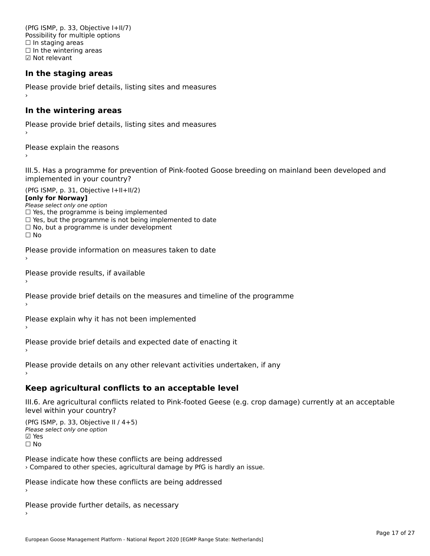(PfG ISMP, p. 33, Objective I+II/7) Possibility for multiple options  $\Box$  In staging areas □ in staging areas<br>□ In the wintering areas ☑ Not relevant

#### **In the staging areas**

Please provide brief details, listing sites and measures ›

#### **In the wintering areas**

Please provide brief details, listing sites and measures ›

Please explain the reasons

III.5. Has a programme for prevention of Pink-footed Goose breeding on mainland been developed and im.5. Tias a programme for pre<br>implemented in your country?

 $(PC I CMP, p. 31, Ok)$ **[only for Norway]**[only for Norway] **Lonny for Norways**<br>Please select only one option riease select only one option<br>□ Yes, the programme is being implemented  $\Box$  ies, the programme is being implemented to date  $\Box$  Yes, but the programme is not being implemented to date  $\Box$  No, but a programme is under development  $\Box$  No

Please provide information on measures taken to date

Please provide results, if available

Please provide brief details on the measures and timeline of the programme›

Please explain why it has not been implemented

Please provide brief details and expected date of enacting it

Please provide details on any other relevant activities undertaken, if any

### **Keep agricultural conflicts to an acceptable level**

III.6. Are agricultural conflicts related to Pink-footed Geese (e.g. crop damage) currently at an acceptable

(PfG ISMP, p. 33, Objective II / 4+5)Please select only one option ☑ Yes☐ No

Please indicate how these conflicts are being addressed › Compared to other species, agricultural damage by PfG is hardly an issue.

Please indicate how these conflicts are being addressed

Please provide further details, as necessary ›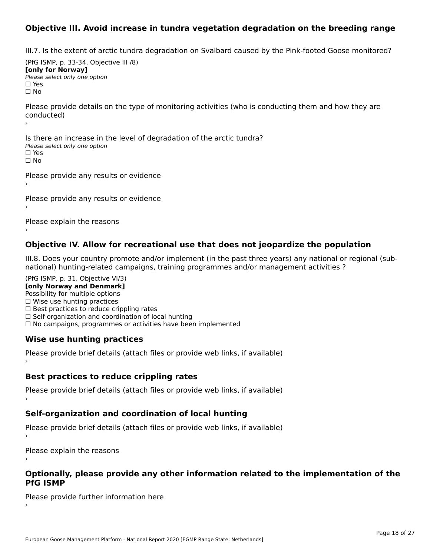### **Objective III. Avoid increase in tundra vegetation degradation on the breeding range**

III.7. Is the extent of arctic tundra degradation on Svalbard caused by the Pink-footed Goose monitored?

 $(DfG | GMP, p. 33-34, O$ (דיכ-ככ p. y. ידע)<br>**For head** of the Moment of [only for Norway] **Please select only one option** □ Yes<br>□ No

 $\ddot{\phantom{0}}$ 

Please provide details on the type of monitoring activities (who is conducting them and how they are conducted)

Is there an increase in the level of degradation of the arctic tundra? □ CitCre dir increduce in c<br>Please select only one option □ Yes<br>□ No

Please provide any results or evidence

Please provide any results or evidence

Please explain the reasons›

#### **Objective IV. Allow for recreational use that does not jeopardize the population**

III.8. Does your country promote and/or implement (in the past three years) any national or regional (sub $m.6. \text{ Does you count by from one any or implement (in the past three years) any national of$ national) hunting-related campaigns, training programmes and/or management activities ?

(PfG ISMP, p. 31, Objective VI/3) **[only Norway and Denmark]** Possibility for multiple options ☐ Wise use hunting practices  $\Box$  wise use numing practices<br> $\Box$  Best practices to reduce crippling rates □ Best practices to reduce cripping rates<br>□ Self-organization and coordination of local hunting □ Sen-organization and coordination or local nunting<br>□ No campaigns, programmes or activities have been implemented

### **Wise use hunting practices**

Please provide brief details (attach files or provide web links, if available) ›

#### **Best practices to reduce crippling rates**

Please provide brief details (attach files or provide web links, if available)

#### **Self-organization and coordination of local hunting**

Please provide brief details (attach files or provide web links, if available)

Please explain the reasons

# **Optionally, please provide any other information related to the implementation of the PfG ISMP**

Please provide further information here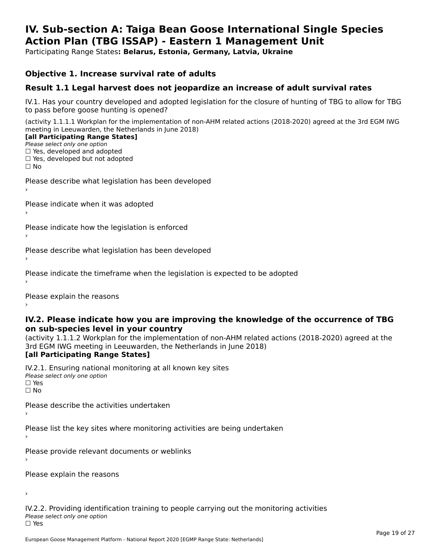#### **IV. Sub-section A: Taiga Bean Goose International Single Species Action Plan (TBG ISSAP) - Eastern 1 Management UnitAction Plan (TBG ISSAP) - Eastern 1 Management Unit**

Participating Range States**: Belarus, Estonia, Germany, Latvia, Ukraine** 

#### **Objective 1. Increase survival rate of adults**

#### **Result 1.1 Legal harvest does not jeopardize an increase of adult survival rates**

IV.1. Has your country developed and adopted legislation for the closure of hunting of TBG to allow for TBG IV.1. Thas your country developed and add<br>to pass before goose hunting is opened?

(activity 1.1.1.1 Workplan for the implementation of non-AHM related actions (2018-2020) agreed at the 3rd EGM IWG meeting in Leeuwarden, the Netherlands in June 2018) **[all Participating Range States]**

#### [all Participating Range States]

Please select only one option ☐ Yes, developed and adopted

☐ Yes, developed but not adopted

 $\Box$  ies, developed but not adopted

Please describe what legislation has been developed

Please indicate when it was adopted

Please indicate how the legislation is enforced

Please describe what legislation has been developed

Please indicate the timeframe when the legislation is expected to be adopted

Please explain the reasons

#### **IV.2. Please indicate how you are improving the knowledge of the occurrence of TBG on sub-species level in your country**on sub-species level in your country

on sub-species fever in your country<br>(activity 1.1.1.2 Workplan for the implementation of non-AHM related actions (2018-2020) agreed at the **Brd EGM IWG meeting in Leeuwarden, the Netherlands in June 2018)** 

#### [all Participating Range States]

IV.2.1. Ensuring national monitoring at all known key sites <del>■ Western Chroning</del> Hational<br>Please select only one option  $\square$  Yes ☐ No

Please describe the activities undertaken

Please list the key sites where monitoring activities are being undertaken

Please provide relevant documents or weblinks

Please explain the reasons

›

IV.2.2. Providing identification training to people carrying out the monitoring activities <del>■ Western Fortung</del> Recrement<br>Please select only one option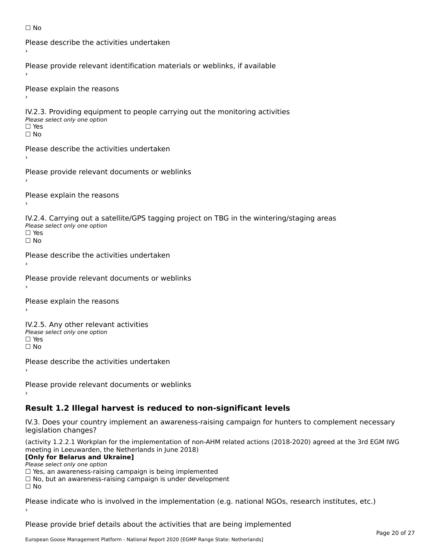```
☐ No
```

```
Please describe the activities undertaken›Please provide relevant identification materials or weblinks, if available
Please explain the reasons
IV.2.3. Providing equipment to people carrying out the monitoring activities
Please select only one option
☐ Yes□ Yes<br>□ No
Please describe the activities undertaken›Please provide relevant documents or weblinks
Please explain the reasons
IV.2.4. Carrying out a satellite/GPS tagging project on TBG in the wintering/staging areas
<del>∩</del><br>Please select only one option
□ Yes<br>□ No
Please describe the activities undertaken›Please provide relevant documents or weblinks
Please explain the reasons
IV.2.5. Any other relevant activities
Please select only one option
☐ Yes□ Yes<br>□ No
Please describe the activities undertaken›Please provide relevant documents or weblinks
Result 1.2 Illegal harvest is reduced to non-significant levels
```
IV.3. Does your country implement an awareness-raising campaign for hunters to complement necessary rv.5. Does your court<br>legislation changes?

(activity 1.2.2.1 Workplan for the implementation of non-AHM related actions (2018-2020) agreed at the 3rd EGM IWG meeting in Leeuwarden, the Netherlands in June 2018)

#### **[Only for Belarus and Ukraine]**

Please select only one option

riease select only one option<br>□ Yes, an awareness-raising campaign is being implemented

□ No, but an awareness-raising campaign is under development<br>□ N。

Please indicate who is involved in the implementation (e.g. national NGOs, research institutes, etc.)

Please provide brief details about the activities that are being implemented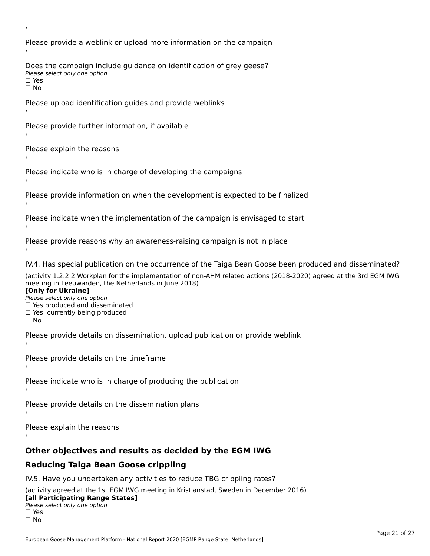Please provide a weblink or upload more information on the campaign Does the campaign include guidance on identification of grey geese? **DOCS** the campaign mer □ Yes<br>□ No Please upload identification guides and provide weblinks Please provide further information, if available Please explain the reasons Please indicate who is in charge of developing the campaigns Please provide information on when the development is expected to be finalized Please indicate when the implementation of the campaign is envisaged to start Please provide reasons why an awareness-raising campaign is not in place IV.4. Has special publication on the occurrence of the Taiga Bean Goose been produced and disseminated? (activity 1.2.2.2 Workplan for the implementation of non-AHM related actions (2018-2020) agreed at the 3rd EGM IWG **[Only for Ukraine] □ Yes produced and disseminated**<br>Please select only one option  $\Box$  ies produced and disseminated  $\Box$  ies, currently being produced Please provide details on dissemination, upload publication or provide weblink Please provide details on the timeframe Please indicate who is in charge of producing the publication Please provide details on the dissemination plans Please explain the reasons **Other objectives and results as decided by the EGM IWG Reducing Taiga Bean Goose crippling** IV.5. Have you undertaken any activities to reduce TBG crippling rates? (activity agreed at the 1st EGM IWG meeting in Kristianstad, Sweden in December 2016)

#### **[all Participating Range States]**[all Participating Range States]

**Law Tarticipating Range**<br>Please select only one option

□ Yes<br>□ No

›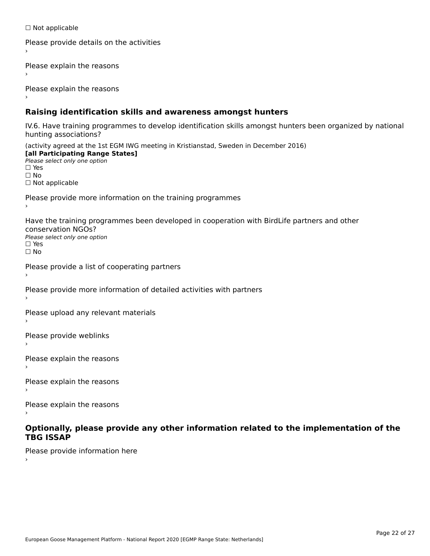☐ Not applicable

```
Please provide details on the activities
```
Please explain the reasons

Please explain the reasons

#### **Raising identification skills and awareness amongst hunters**

IV.6. Have training programmes to develop identification skills amongst hunters been organized by national rv.o. riave training pro<br>hunting associations?

(activity agreed at the 1st EGM IWG meeting in Kristianstad, Sweden in December 2016) **[all Participating Range States]**[all Participating Range States] **Lan Tarticipating Range**<br>Please select only one option ☐ Yes☐ No□ Not applicable

Please provide more information on the training programmes

Have the training programmes been developed in cooperation with BirdLife partners and other conservation NGOs?Please select only one option☐ Yes☐ No

```
Please provide a list of cooperating partners
```
Please provide more information of detailed activities with partners

Please upload any relevant materials

Please provide weblinks

Please explain the reasons

Please explain the reasons›

Please explain the reasons

#### **Optionally, please provide any other information related to the implementation of the TBG ISSAP**

Please provide information here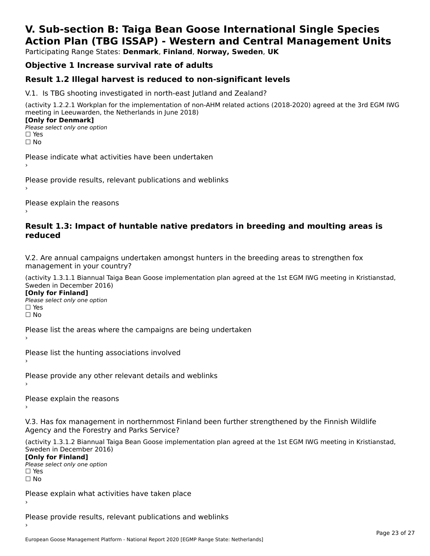### **V. Sub-section B: Taiga Bean Goose International Single SpeciesAction Plan (TBG ISSAP) - Western and Central Management Units**

Participating Range States: **Denmark**, **Finland**, **Norway, Sweden**, **UK**

### **Objective 1 Increase survival rate of adults**

### **Result 1.2 Illegal harvest is reduced to non-significant levels**

V.1. Is TBG shooting investigated in north-east Jutland and Zealand?

(activity 1.2.2.1 Workplan for the implementation of non-AHM related actions (2018-2020) agreed at the 3rd EGM IWG meeting in Leeuwarden, the Netherlands in June 2018) **[Only for Denmark] LOTTLY TOT DETITIONS**<br>Please select only one option

*riease*<br>□ Yes<br>□ No

Please indicate what activities have been undertaken›

Please provide results, relevant publications and weblinks ›

Please explain the reasons

#### **Result 1.3: Impact of huntable native predators in breeding and moulting areas is reduced**

V.2. Are annual campaigns undertaken amongst hunters in the breeding areas to strengthen fox v.z. Are annual campaigns und<br>management in your country?

(activity 1.3.1.1 Biannual Taiga Bean Goose implementation plan agreed at the 1st EGM IWG meeting in Kristianstad, Sweden in December 2016)

**[Only for Finland]** Please select only one optionriease<br>□ Yes □ Yes<br>□ No

Please list the areas where the campaigns are being undertaken

Please list the hunting associations involved

Please provide any other relevant details and weblinks ›

Please explain the reasons›

V.3. Has fox management in northernmost Finland been further strengthened by the Finnish Wildlife v.5. Has fox management in northernmost F<br>Agency and the Forestry and Parks Service?

(activity 1.3.1.2 Biannual Taiga Bean Goose implementation plan agreed at the 1st EGM IWG meeting in Kristianstad, Sweden in December 2016) Sweden in December 2016)

[Only for Finland]

**Please select only one option** □ Yes<br>□ No

Please explain what activities have taken place

Please provide results, relevant publications and weblinks ›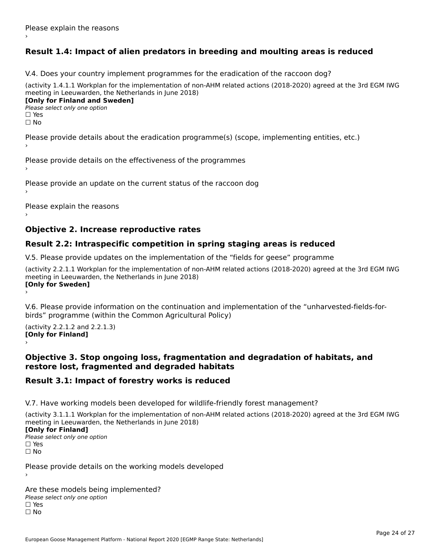### **Result 1.4: Impact of alien predators in breeding and moulting areas is reduced**

V.4. Does your country implement programmes for the eradication of the raccoon dog?

(activity 1.4.1.1 Workplan for the implementation of non-AHM related actions (2018-2020) agreed at the 3rd EGM IWG meeting in Leeuwarden, the Netherlands in June 2018) **[Only for Finland and Sweden]**

**Please select only one option** 

□ Yes<br>□ No

Please provide details about the eradication programme(s) (scope, implementing entities, etc.)

Please provide details on the effectiveness of the programmes

Please provide an update on the current status of the raccoon dog

Please explain the reasons

#### **Objective 2. Increase reproductive rates**

#### **Result 2.2: Intraspecific competition in spring staging areas is reduced**

V.5. Please provide updates on the implementation of the "fields for geese" programme

(activity 2.2.1.1 Workplan for the implementation of non-AHM related actions (2018-2020) agreed at the 3rd EGM IWG meeting in Leeuwarden, the Netherlands in June 2018) **[Only for Sweden]**Loury for Swedent

V.6. Please provide information on the continuation and implementation of the "unharvested-fields-forbirds" programme (within the Common Agricultural Policy)birds" programme (within the Common Agricultural Policy)

(activity 2.2.1.2 and 2.2.1.3) **[Only for Finland]** ›

#### **Objective 3. Stop ongoing loss, fragmentation and degradation of habitats, and restore lost, fragmented and degraded habitats**

### **Result 3.1: Impact of forestry works is reduced**

V.7. Have working models been developed for wildlife-friendly forest management?

(activity 3.1.1.1 Workplan for the implementation of non-AHM related actions (2018-2020) agreed at the 3rd EGM IWG meeting in Leeuwarden, the Netherlands in June 2018)

#### **[Only for Finland]**

**Please select only one option** □ Yes<br>□ No

Please provide details on the working models developed

Are these models being implemented? ∩ne enese moders being<br>Please select only one option □ Yes<br>□ No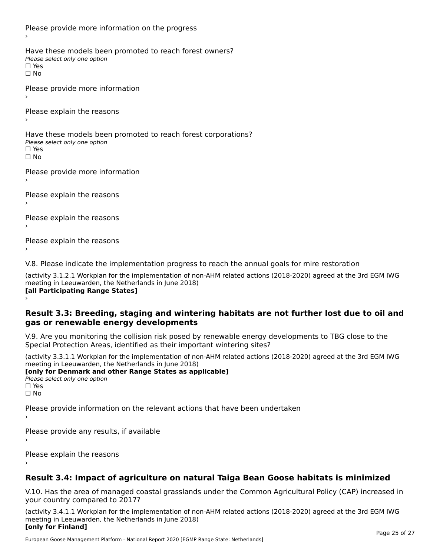Please provide more information on the progress Have these models been promoted to reach forest owners? ∩ave these models bee<br>Please select only one option □ Yes<br>□ No Please provide more information Please explain the reasons ›Have these models been promoted to reach forest corporations? ∩ave these models bee<br>Please select only one option □ Yes<br>□ No Please provide more information Please explain the reasons ›Please explain the reasons›Please explain the reasons›

V.8. Please indicate the implementation progress to reach the annual goals for mire restoration

(activity 3.1.2.1 Workplan for the implementation of non-AHM related actions (2018-2020) agreed at the 3rd EGM IWG meeting in Leeuwarden, the Netherlands in June 2018) **[all Participating Range States]** ›

**Result 3.3: Breeding, staging and wintering habitats are not further lost due to oil and gas or renewable energy developments**gas or renewable energy developments

V.9. Are you monitoring the collision risk posed by renewable energy developments to TBG close to the Special Protection Areas, identified as their important wintering sites?

(activity 3.3.1.1 Workplan for the implementation of non-AHM related actions (2018-2020) agreed at the 3rd EGM IWG meeting in Leeuwarden, the Netherlands in June 2018) **[only for Denmark and other Range States as applicable]**

```
Please select only one option
□ Yes<br>□ No
```
Please provide information on the relevant actions that have been undertaken ›

Please provide any results, if available

Please explain the reasons

### **Result 3.4: Impact of agriculture on natural Taiga Bean Goose habitats is minimized**

V.10. Has the area of managed coastal grasslands under the Common Agricultural Policy (CAP) increased in

(activity 3.4.1.1 Workplan for the implementation of non-AHM related actions (2018-2020) agreed at the 3rd EGM IWG meeting in Leeuwarden, the Netherlands in June 2018) **[only for Finland]**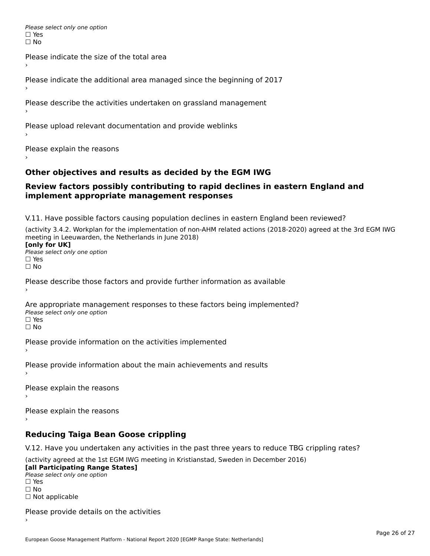Please select only one option □ Yes<br>□ No

Please indicate the size of the total area›

Please indicate the additional area managed since the beginning of 2017

Please describe the activities undertaken on grassland management

Please upload relevant documentation and provide weblinks

Please explain the reasons

#### **Other objectives and results as decided by the EGM IWG**

#### **Review factors possibly contributing to rapid declines in eastern England and implement appropriate management responses**implement appropriate management responses

V.11. Have possible factors causing population declines in eastern England been reviewed?

(activity 3.4.2. Workplan for the implementation of non-AHM related actions (2018-2020) agreed at the 3rd EGM IWG meeting in Leeuwarden, the Netherlands in June 2018)<br>**[only for UK]** 

**∐omy for OR**<br>Please select only one option □ Yes<br>□ No

Please describe those factors and provide further information as available

Are appropriate management responses to these factors being implemented? Please select only one option ים<br>⊡ No

Please provide information on the activities implemented

Please provide information about the main achievements and results›

Please explain the reasons

Please explain the reasons

**Reducing Taiga Bean Goose crippling**

V.12. Have you undertaken any activities in the past three years to reduce TBG crippling rates?

(activity agreed at the 1st EGM IWG meeting in Kristianstad, Sweden in December 2016) **[all Participating Range States]**

[all Participating Range States] Please select only one option☐ Yesים<br>⊡ No □ Not applicable

Please provide details on the activities